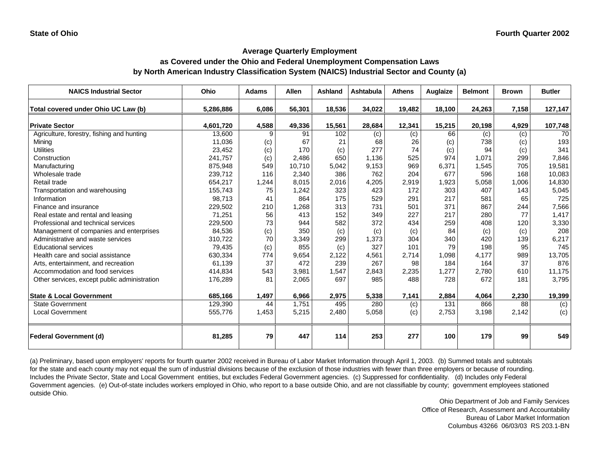# **as Covered under the Ohio and Federal Unemployment Compensation Laws by North American Industry Classification System (NAICS) Industrial Sector and County (a)**

| <b>NAICS Industrial Sector</b>               | Ohio      | <b>Adams</b> | <b>Allen</b> | <b>Ashland</b> | <b>Ashtabula</b> | <b>Athens</b> | Auglaize | <b>Belmont</b> | <b>Brown</b> | <b>Butler</b> |
|----------------------------------------------|-----------|--------------|--------------|----------------|------------------|---------------|----------|----------------|--------------|---------------|
| Total covered under Ohio UC Law (b)          | 5,286,886 | 6,086        | 56,301       | 18,536         | 34,022           | 19,482        | 18,100   | 24,263         | 7,158        | 127,147       |
| <b>Private Sector</b>                        | 4,601,720 | 4,588        | 49,336       | 15,561         | 28,684           | 12,341        | 15,215   | 20,198         | 4,929        | 107,748       |
| Agriculture, forestry, fishing and hunting   | 13,600    | 9            | 91           | 102            | (c)              | (c)           | 66       | (c)            | (c)          | 70            |
| Mining                                       | 11,036    | (c)          | 67           | 21             | 68               | 26            | (c)      | 738            | (c)          | 193           |
| <b>Utilities</b>                             | 23,452    | (c)          | 170          | (c)            | 277              | 74            | (c)      | 94             | (c)          | 341           |
| Construction                                 | 241,757   | (c)          | 2,486        | 650            | 1.136            | 525           | 974      | 1.071          | 299          | 7,846         |
| Manufacturing                                | 875,948   | 549          | 10,710       | 5,042          | 9,153            | 969           | 6,371    | 1,545          | 705          | 19,581        |
| Wholesale trade                              | 239,712   | 116          | 2,340        | 386            | 762              | 204           | 677      | 596            | 168          | 10,083        |
| Retail trade                                 | 654,217   | 1,244        | 8,015        | 2,016          | 4,205            | 2,919         | 1,923    | 5,058          | 1,006        | 14,830        |
| Transportation and warehousing               | 155,743   | 75           | 1,242        | 323            | 423              | 172           | 303      | 407            | 143          | 5,045         |
| Information                                  | 98,713    | 41           | 864          | 175            | 529              | 291           | 217      | 581            | 65           | 725           |
| Finance and insurance                        | 229,502   | 210          | 1.268        | 313            | 731              | 501           | 371      | 867            | 244          | 7,566         |
| Real estate and rental and leasing           | 71,251    | 56           | 413          | 152            | 349              | 227           | 217      | 280            | 77           | 1,417         |
| Professional and technical services          | 229,500   | 73           | 944          | 582            | 372              | 434           | 259      | 408            | 120          | 3,330         |
| Management of companies and enterprises      | 84,536    | (c)          | 350          | (c)            | (c)              | (c)           | 84       | (c)            | (c)          | 208           |
| Administrative and waste services            | 310,722   | 70           | 3,349        | 299            | 1,373            | 304           | 340      | 420            | 139          | 6,217         |
| <b>Educational services</b>                  | 79,435    | (c)          | 855          | (c)            | 327              | 101           | 79       | 198            | 95           | 745           |
| Health care and social assistance            | 630,334   | 774          | 9,654        | 2,122          | 4,561            | 2,714         | 1,098    | 4,177          | 989          | 13,705        |
| Arts, entertainment, and recreation          | 61,139    | 37           | 472          | 239            | 267              | 98            | 184      | 164            | 37           | 876           |
| Accommodation and food services              | 414,834   | 543          | 3.981        | 1,547          | 2,843            | 2,235         | 1,277    | 2.780          | 610          | 11,175        |
| Other services, except public administration | 176,289   | 81           | 2,065        | 697            | 985              | 488           | 728      | 672            | 181          | 3,795         |
| <b>State &amp; Local Government</b>          | 685,166   | 1,497        | 6,966        | 2,975          | 5,338            | 7,141         | 2,884    | 4,064          | 2,230        | 19,399        |
| <b>State Government</b>                      | 129,390   | 44           | 1,751        | 495            | 280              | (c)           | 131      | 866            | 88           | (c)           |
| <b>Local Government</b>                      | 555,776   | 1,453        | 5,215        | 2,480          | 5,058            | (c)           | 2,753    | 3,198          | 2,142        | (c)           |
| <b>Federal Government (d)</b>                | 81,285    | 79           | 447          | 114            | 253              | 277           | 100      | 179            | 99           | 549           |

(a) Preliminary, based upon employers' reports for fourth quarter 2002 received in Bureau of Labor Market Information through April 1, 2003. (b) Summed totals and subtotals for the state and each county may not equal the sum of industrial divisions because of the exclusion of those industries with fewer than three employers or because of rounding. Includes the Private Sector, State and Local Government entities, but excludes Federal Government agencies. (c) Suppressed for confidentiality. (d) Includes only Federal Government agencies. (e) Out-of-state includes workers employed in Ohio, who report to a base outside Ohio, and are not classifiable by county; government employees stationed outside Ohio.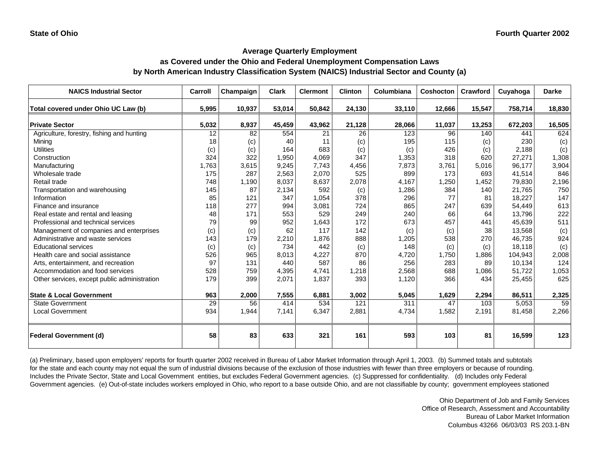# **as Covered under the Ohio and Federal Unemployment Compensation Laws by North American Industry Classification System (NAICS) Industrial Sector and County (a)**

| <b>NAICS Industrial Sector</b>               | Carroll | Champaign | <b>Clark</b> | <b>Clermont</b> | <b>Clinton</b> | Columbiana | Coshocton | Crawford | Cuyahoga | <b>Darke</b> |
|----------------------------------------------|---------|-----------|--------------|-----------------|----------------|------------|-----------|----------|----------|--------------|
| Total covered under Ohio UC Law (b)          | 5,995   | 10,937    | 53,014       | 50,842          | 24,130         | 33,110     | 12,666    | 15,547   | 758,714  | 18,830       |
| <b>Private Sector</b>                        | 5,032   | 8,937     | 45,459       | 43,962          | 21,128         | 28,066     | 11,037    | 13,253   | 672,203  | 16,505       |
| Agriculture, forestry, fishing and hunting   | 12      | 82        | 554          | 21              | 26             | 123        | 96        | 140      | 441      | 624          |
| Minina                                       | 18      | (c)       | 40           | 11              | (c)            | 195        | 115       | (c)      | 230      | (c)          |
| <b>Utilities</b>                             | (c)     | (c)       | 164          | 683             | (c)            | (c)        | 426       | (c)      | 2,188    | (c)          |
| Construction                                 | 324     | 322       | 1,950        | 4,069           | 347            | 1,353      | 318       | 620      | 27,271   | 1,308        |
| Manufacturing                                | 1,763   | 3,615     | 9,245        | 7,743           | 4,456          | 7,873      | 3,761     | 5,016    | 96,177   | 3,904        |
| Wholesale trade                              | 175     | 287       | 2,563        | 2,070           | 525            | 899        | 173       | 693      | 41,514   | 846          |
| Retail trade                                 | 748     | 1,190     | 8,037        | 8,637           | 2,078          | 4,167      | 1,250     | 1,452    | 79,830   | 2,196        |
| Transportation and warehousing               | 145     | 87        | 2,134        | 592             | (c)            | 1,286      | 384       | 140      | 21,765   | 750          |
| Information                                  | 85      | 121       | 347          | 1,054           | 378            | 296        | 77        | 81       | 18,227   | 147          |
| Finance and insurance                        | 118     | 277       | 994          | 3,081           | 724            | 865        | 247       | 639      | 54,449   | 613          |
| Real estate and rental and leasing           | 48      | 171       | 553          | 529             | 249            | 240        | 66        | 64       | 13,796   | 222          |
| Professional and technical services          | 79      | 99        | 952          | 1,643           | 172            | 673        | 457       | 441      | 45,639   | 511          |
| Management of companies and enterprises      | (c)     | (c)       | 62           | 117             | 142            | (c)        | (c)       | 38       | 13,568   | (c)          |
| Administrative and waste services            | 143     | 179       | 2,210        | 1,876           | 888            | 1,205      | 538       | 270      | 46,735   | 924          |
| <b>Educational services</b>                  | (c)     | (c)       | 734          | 442             | (c)            | 148        | (c)       | (c)      | 18,118   | (c)          |
| Health care and social assistance            | 526     | 965       | 8,013        | 4,227           | 870            | 4,720      | 1,750     | 1,886    | 104,943  | 2,008        |
| Arts, entertainment, and recreation          | 97      | 131       | 440          | 587             | 86             | 256        | 283       | 89       | 10,134   | 124          |
| Accommodation and food services              | 528     | 759       | 4,395        | 4,741           | 1,218          | 2,568      | 688       | 1,086    | 51,722   | 1,053        |
| Other services, except public administration | 179     | 399       | 2,071        | 1,837           | 393            | 1,120      | 366       | 434      | 25,455   | 625          |
| <b>State &amp; Local Government</b>          | 963     | 2,000     | 7,555        | 6,881           | 3,002          | 5,045      | 1,629     | 2,294    | 86,511   | 2,325        |
| <b>State Government</b>                      | 29      | 56        | 414          | 534             | 121            | 311        | 47        | 103      | 5,053    | 59           |
| <b>Local Government</b>                      | 934     | 1,944     | 7,141        | 6,347           | 2,881          | 4,734      | 1,582     | 2,191    | 81,458   | 2,266        |
| <b>Federal Government (d)</b>                | 58      | 83        | 633          | 321             | 161            | 593        | 103       | 81       | 16,599   | 123          |

(a) Preliminary, based upon employers' reports for fourth quarter 2002 received in Bureau of Labor Market Information through April 1, 2003. (b) Summed totals and subtotals for the state and each county may not equal the sum of industrial divisions because of the exclusion of those industries with fewer than three employers or because of rounding. Includes the Private Sector, State and Local Government entities, but excludes Federal Government agencies. (c) Suppressed for confidentiality. (d) Includes only Federal Government agencies. (e) Out-of-state includes workers employed in Ohio, who report to a base outside Ohio, and are not classifiable by county; government employees stationed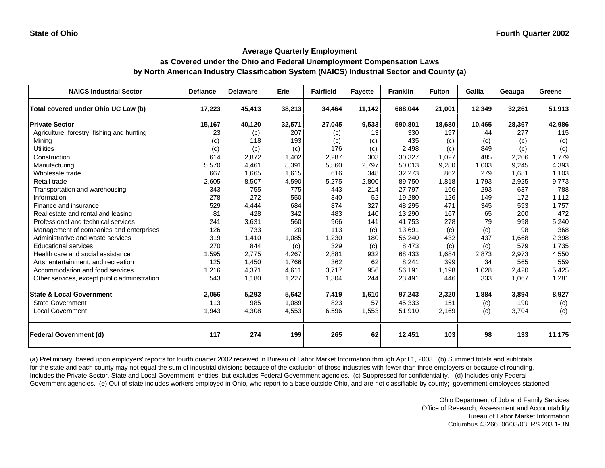# **as Covered under the Ohio and Federal Unemployment Compensation Laws by North American Industry Classification System (NAICS) Industrial Sector and County (a)**

| <b>NAICS Industrial Sector</b>               | <b>Defiance</b> | <b>Delaware</b> | Erie   | <b>Fairfield</b> | <b>Fayette</b> | <b>Franklin</b> | <b>Fulton</b> | Gallia | Geauga | Greene |
|----------------------------------------------|-----------------|-----------------|--------|------------------|----------------|-----------------|---------------|--------|--------|--------|
| Total covered under Ohio UC Law (b)          | 17,223          | 45,413          | 38,213 | 34,464           | 11,142         | 688,044         | 21,001        | 12,349 | 32,261 | 51,913 |
| <b>Private Sector</b>                        | 15,167          | 40,120          | 32,571 | 27,045           | 9,533          | 590,801         | 18,680        | 10,465 | 28,367 | 42,986 |
| Agriculture, forestry, fishing and hunting   | 23              | (c)             | 207    | (c)              | 13             | 330             | 197           | 44     | 277    | 115    |
| Mining                                       | (c)             | 118             | 193    | (c)              | (c)            | 435             | (c)           | (c)    | (c)    | (c)    |
| <b>Utilities</b>                             | (c)             | (c)             | (c)    | 176              | (c)            | 2,498           | (c)           | 849    | (c)    | (c)    |
| Construction                                 | 614             | 2,872           | 1,402  | 2,287            | 303            | 30,327          | 1,027         | 485    | 2,206  | 1,779  |
| Manufacturing                                | 5,570           | 4,461           | 8,391  | 5,560            | 2,797          | 50,013          | 9,280         | 1,003  | 9,245  | 4,393  |
| Wholesale trade                              | 667             | 1,665           | 1,615  | 616              | 348            | 32,273          | 862           | 279    | 1,651  | 1,103  |
| Retail trade                                 | 2,605           | 8,507           | 4,590  | 5,275            | 2,800          | 89,750          | 1,818         | 1,793  | 2,925  | 9,773  |
| Transportation and warehousing               | 343             | 755             | 775    | 443              | 214            | 27,797          | 166           | 293    | 637    | 788    |
| Information                                  | 278             | 272             | 550    | 340              | 52             | 19,280          | 126           | 149    | 172    | 1,112  |
| Finance and insurance                        | 529             | 4,444           | 684    | 874              | 327            | 48,295          | 471           | 345    | 593    | 1,757  |
| Real estate and rental and leasing           | 81              | 428             | 342    | 483              | 140            | 13,290          | 167           | 65     | 200    | 472    |
| Professional and technical services          | 241             | 3,631           | 560    | 966              | 141            | 41,753          | 278           | 79     | 998    | 5,240  |
| Management of companies and enterprises      | 126             | 733             | 20     | 113              | (c)            | 13,691          | (c)           | (c)    | 98     | 368    |
| Administrative and waste services            | 319             | 1,410           | 1,085  | 1,230            | 180            | 56,240          | 432           | 437    | 1,668  | 2,398  |
| <b>Educational services</b>                  | 270             | 844             | (c)    | 329              | (c)            | 8,473           | (c)           | (c)    | 579    | 1,735  |
| Health care and social assistance            | 1,595           | 2,775           | 4,267  | 2,881            | 932            | 68,433          | 1,684         | 2,873  | 2,973  | 4,550  |
| Arts, entertainment, and recreation          | 125             | 1,450           | 1,766  | 362              | 62             | 8,241           | 399           | 34     | 565    | 559    |
| Accommodation and food services              | 1,216           | 4,371           | 4,611  | 3,717            | 956            | 56,191          | 1,198         | 1,028  | 2,420  | 5,425  |
| Other services, except public administration | 543             | 1,180           | 1,227  | 1,304            | 244            | 23,491          | 446           | 333    | 1,067  | 1,281  |
| <b>State &amp; Local Government</b>          | 2,056           | 5,293           | 5,642  | 7,419            | 1,610          | 97,243          | 2,320         | 1,884  | 3,894  | 8,927  |
| <b>State Government</b>                      | 113             | 985             | 1,089  | 823              | 57             | 45,333          | 151           | (c)    | 190    | (c)    |
| <b>Local Government</b>                      | 1,943           | 4,308           | 4,553  | 6,596            | 1,553          | 51,910          | 2,169         | (c)    | 3,704  | (c)    |
| <b>Federal Government (d)</b>                | 117             | 274             | 199    | 265              | 62             | 12,451          | 103           | 98     | 133    | 11,175 |

(a) Preliminary, based upon employers' reports for fourth quarter 2002 received in Bureau of Labor Market Information through April 1, 2003. (b) Summed totals and subtotals for the state and each county may not equal the sum of industrial divisions because of the exclusion of those industries with fewer than three employers or because of rounding. Includes the Private Sector, State and Local Government entities, but excludes Federal Government agencies. (c) Suppressed for confidentiality. (d) Includes only Federal Government agencies. (e) Out-of-state includes workers employed in Ohio, who report to a base outside Ohio, and are not classifiable by county; government employees stationed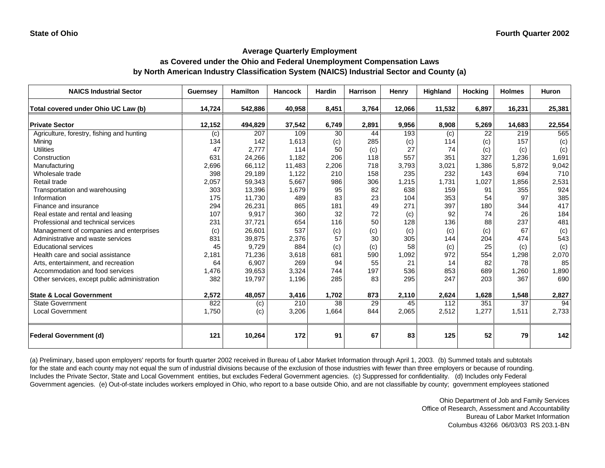# **as Covered under the Ohio and Federal Unemployment Compensation Laws by North American Industry Classification System (NAICS) Industrial Sector and County (a)**

| <b>NAICS Industrial Sector</b>               | Guernsey | <b>Hamilton</b> | <b>Hancock</b> | <b>Hardin</b> | <b>Harrison</b> | Henry  | Highland | <b>Hocking</b> | <b>Holmes</b> | <b>Huron</b> |
|----------------------------------------------|----------|-----------------|----------------|---------------|-----------------|--------|----------|----------------|---------------|--------------|
| Total covered under Ohio UC Law (b)          | 14,724   | 542,886         | 40,958         | 8,451         | 3,764           | 12,066 | 11,532   | 6,897          | 16,231        | 25,381       |
| <b>Private Sector</b>                        | 12,152   | 494,829         | 37,542         | 6,749         | 2,891           | 9,956  | 8,908    | 5,269          | 14,683        | 22,554       |
| Agriculture, forestry, fishing and hunting   | (c)      | 207             | 109            | 30            | 44              | 193    | (c)      | 22             | 219           | 565          |
| Mining                                       | 134      | 142             | 1,613          | (c)           | 285             | (c)    | 114      | (c)            | 157           | (c)          |
| <b>Utilities</b>                             | 47       | 2,777           | 114            | 50            | (c)             | 27     | 74       | (c)            | (c)           | (c)          |
| Construction                                 | 631      | 24,266          | 1,182          | 206           | 118             | 557    | 351      | 327            | 1,236         | 1,691        |
| Manufacturing                                | 2,696    | 66,112          | 11,483         | 2,206         | 718             | 3,793  | 3,021    | 1,386          | 5,872         | 9,042        |
| Wholesale trade                              | 398      | 29,189          | 1,122          | 210           | 158             | 235    | 232      | 143            | 694           | 710          |
| Retail trade                                 | 2,057    | 59,343          | 5,667          | 986           | 306             | 1,215  | 1,731    | 1,027          | 1,856         | 2,531        |
| Transportation and warehousing               | 303      | 13,396          | 1,679          | 95            | 82              | 638    | 159      | 91             | 355           | 924          |
| Information                                  | 175      | 11,730          | 489            | 83            | 23              | 104    | 353      | 54             | 97            | 385          |
| Finance and insurance                        | 294      | 26,231          | 865            | 181           | 49              | 271    | 397      | 180            | 344           | 417          |
| Real estate and rental and leasing           | 107      | 9,917           | 360            | 32            | 72              | (c)    | 92       | 74             | 26            | 184          |
| Professional and technical services          | 231      | 37,721          | 654            | 116           | 50              | 128    | 136      | 88             | 237           | 481          |
| Management of companies and enterprises      | (c)      | 26,601          | 537            | (c)           | (c)             | (c)    | (c)      | (c)            | 67            | (c)          |
| Administrative and waste services            | 831      | 39,875          | 2,376          | 57            | 30              | 305    | 144      | 204            | 474           | 543          |
| <b>Educational services</b>                  | 45       | 9,729           | 884            | (c)           | (c)             | 58     | (c)      | 25             | (c)           | (c)          |
| Health care and social assistance            | 2,181    | 71,236          | 3,618          | 681           | 590             | 1,092  | 972      | 554            | 1,298         | 2,070        |
| Arts, entertainment, and recreation          | 64       | 6,907           | 269            | 94            | 55              | 21     | 14       | 82             | 78            | 85           |
| Accommodation and food services              | 1,476    | 39,653          | 3,324          | 744           | 197             | 536    | 853      | 689            | 1,260         | 1,890        |
| Other services, except public administration | 382      | 19,797          | 1,196          | 285           | 83              | 295    | 247      | 203            | 367           | 690          |
| <b>State &amp; Local Government</b>          | 2,572    | 48,057          | 3,416          | 1,702         | 873             | 2,110  | 2,624    | 1,628          | 1,548         | 2,827        |
| <b>State Government</b>                      | 822      | (c)             | 210            | 38            | 29              | 45     | 112      | 351            | 37            | 94           |
| <b>Local Government</b>                      | 1,750    | (c)             | 3,206          | 1,664         | 844             | 2,065  | 2,512    | 1,277          | 1,511         | 2,733        |
| <b>Federal Government (d)</b>                | 121      | 10,264          | 172            | 91            | 67              | 83     | 125      | 52             | 79            | 142          |

(a) Preliminary, based upon employers' reports for fourth quarter 2002 received in Bureau of Labor Market Information through April 1, 2003. (b) Summed totals and subtotals for the state and each county may not equal the sum of industrial divisions because of the exclusion of those industries with fewer than three employers or because of rounding. Includes the Private Sector, State and Local Government entities, but excludes Federal Government agencies. (c) Suppressed for confidentiality. (d) Includes only Federal Government agencies. (e) Out-of-state includes workers employed in Ohio, who report to a base outside Ohio, and are not classifiable by county; government employees stationed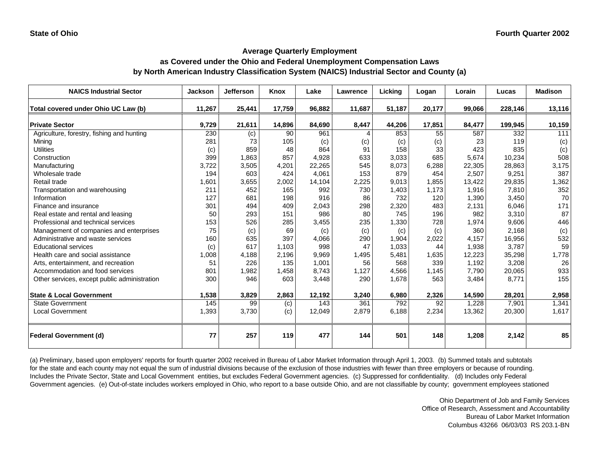# **as Covered under the Ohio and Federal Unemployment Compensation Laws by North American Industry Classification System (NAICS) Industrial Sector and County (a)**

| <b>NAICS Industrial Sector</b>                                               | <b>Jackson</b> | <b>Jefferson</b> | <b>Knox</b> | Lake         | Lawrence   | Licking      | Logan       | Lorain | Lucas           | <b>Madison</b> |
|------------------------------------------------------------------------------|----------------|------------------|-------------|--------------|------------|--------------|-------------|--------|-----------------|----------------|
| Total covered under Ohio UC Law (b)                                          | 11,267         | 25,441           | 17,759      | 96,882       | 11,687     | 51,187       | 20,177      | 99,066 | 228,146         | 13,116         |
| <b>Private Sector</b>                                                        | 9,729          | 21,611           | 14,896      | 84,690       | 8,447      | 44,206       | 17,851      | 84,477 | 199,945         | 10,159         |
| Agriculture, forestry, fishing and hunting                                   | 230            | (c)              | 90          | 961          |            | 853          | 55          | 587    | 332             | 111            |
| Minina                                                                       | 281            | 73               | 105         | (c)          | (c)        | (c)          | (c)         | 23     | 119             | (c)            |
| <b>Utilities</b>                                                             | (c)            | 859              | 48          | 864          | 91         | 158          | 33          | 423    | 835             | (c)            |
| Construction                                                                 | 399            | 1,863            | 857         | 4,928        | 633        | 3.033        | 685         | 5,674  | 10,234          | 508            |
| Manufacturing                                                                | 3,722          | 3,505            | 4,201       | 22,265       | 545        | 8,073        | 6,288       | 22,305 | 28,863          | 3,175          |
| Wholesale trade                                                              | 194            | 603              | 424         | 4,061        | 153        | 879          | 454         | 2,507  | 9,251           | 387            |
| Retail trade                                                                 | 1,601          | 3,655            | 2,002       | 14,104       | 2,225      | 9,013        | 1,855       | 13,422 | 29,835          | 1,362          |
| Transportation and warehousing                                               | 211            | 452              | 165         | 992          | 730        | 1,403        | 1,173       | 1,916  | 7,810           | 352            |
| Information                                                                  | 127            | 681              | 198         | 916          | 86         | 732          | 120         | 1,390  | 3,450           | 70             |
| Finance and insurance                                                        | 301            | 494              | 409         | 2,043        | 298        | 2,320        | 483         | 2,131  | 6,046           | 171            |
| Real estate and rental and leasing                                           | 50             | 293              | 151         | 986          | 80         | 745          | 196         | 982    | 3,310           | 87             |
| Professional and technical services                                          | 153            | 526              | 285         | 3,455        | 235        | 1,330        | 728         | 1,974  | 9,606           | 446            |
|                                                                              | 75             |                  | 69          |              |            |              |             | 360    | 2,168           |                |
| Management of companies and enterprises<br>Administrative and waste services | 160            | (c)<br>635       | 397         | (c)<br>4,066 | (c)<br>290 | (c)<br>1,904 | (c)         | 4.157  | 16,956          | (c)<br>532     |
| <b>Educational services</b>                                                  |                | 617              | 1.103       | 998          | 47         | 1,033        | 2,022<br>44 | 1,938  | 3,787           | 59             |
| Health care and social assistance                                            | (c)<br>1,008   | 4,188            | 2,196       | 9,969        | 1,495      | 5,481        | 1,635       | 12,223 | 35,298          | 1,778          |
| Arts, entertainment, and recreation                                          | 51             | 226              | 135         | 1,001        | 56         | 568          | 339         | 1,192  | 3,208           | 26             |
| Accommodation and food services                                              | 801            | 1,982            | 1,458       | 8,743        | 1,127      | 4,566        | 1,145       | 7,790  |                 | 933            |
|                                                                              | 300            | 946              | 603         |              | 290        | 1,678        | 563         | 3,484  | 20,065<br>8,771 | 155            |
| Other services, except public administration                                 |                |                  |             | 3,448        |            |              |             |        |                 |                |
| <b>State &amp; Local Government</b>                                          | 1,538          | 3,829            | 2,863       | 12,192       | 3,240      | 6,980        | 2,326       | 14,590 | 28,201          | 2,958          |
| <b>State Government</b>                                                      | 145            | 99               | (c)         | 143          | 361        | 792          | 92          | 1,228  | 7,901           | 1,341          |
| <b>Local Government</b>                                                      | 1,393          | 3,730            | (c)         | 12,049       | 2,879      | 6,188        | 2,234       | 13,362 | 20,300          | 1,617          |
| <b>Federal Government (d)</b>                                                | 77             | 257              | 119         | 477          | 144        | 501          | 148         | 1,208  | 2,142           | 85             |

(a) Preliminary, based upon employers' reports for fourth quarter 2002 received in Bureau of Labor Market Information through April 1, 2003. (b) Summed totals and subtotals for the state and each county may not equal the sum of industrial divisions because of the exclusion of those industries with fewer than three employers or because of rounding. Includes the Private Sector, State and Local Government entities, but excludes Federal Government agencies. (c) Suppressed for confidentiality. (d) Includes only Federal Government agencies. (e) Out-of-state includes workers employed in Ohio, who report to a base outside Ohio, and are not classifiable by county; government employees stationed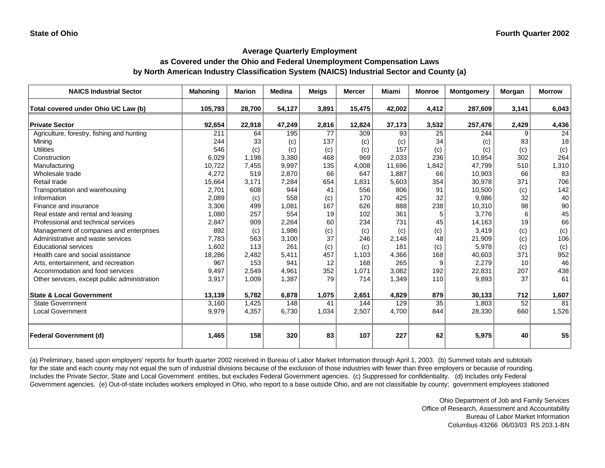# **as Covered under the Ohio and Federal Unemployment Compensation Laws by North American Industry Classification System (NAICS) Industrial Sector and County (a)**

| <b>NAICS Industrial Sector</b>               | <b>Mahoning</b> | <b>Marion</b> | <b>Medina</b> | <b>Meigs</b> | <b>Mercer</b> | <b>Miami</b> | <b>Monroe</b> | <b>Montgomery</b> | Morgan | <b>Morrow</b> |
|----------------------------------------------|-----------------|---------------|---------------|--------------|---------------|--------------|---------------|-------------------|--------|---------------|
| Total covered under Ohio UC Law (b)          | 105,793         | 28,700        | 54,127        | 3,891        | 15,475        | 42,002       | 4,412         | 287,609           | 3,141  | 6,043         |
| <b>Private Sector</b>                        | 92,654          | 22,918        | 47,249        | 2,816        | 12,824        | 37,173       | 3,532         | 257,476           | 2,429  | 4,436         |
| Agriculture, forestry, fishing and hunting   | 211             | 64            | 195           | 77           | 309           | 93           | 25            | 244               | 9      | 24            |
| Mining                                       | 244             | 33            | (c)           | 137          | (c)           | (c)          | 34            | (c)               | 83     | 18            |
| <b>Utilities</b>                             | 546             | (c)           | (c)           | (c)          | (c)           | 157          | (c)           | (c)               | (c)    | (c)           |
| Construction                                 | 6.029           | 1,198         | 3,380         | 468          | 969           | 2,033        | 236           | 10,854            | 302    | 264           |
| Manufacturing                                | 10,722          | 7,455         | 9,997         | 135          | 4,008         | 11,696       | 1,842         | 47,799            | 510    | 1,310         |
| Wholesale trade                              | 4,272           | 519           | 2,870         | 66           | 647           | 1.887        | 66            | 10,903            | 66     | 83            |
| Retail trade                                 | 15,664          | 3,171         | 7,284         | 654          | 1,831         | 5,603        | 354           | 30,978            | 371    | 706           |
| Transportation and warehousing               | 2,701           | 608           | 944           | 41           | 556           | 806          | 91            | 10,500            | (c)    | 142           |
| Information                                  | 2,089           | (c)           | 558           | (c)          | 170           | 425          | 32            | 9.986             | 32     | 40            |
| Finance and insurance                        | 3,306           | 499           | 1,081         | 167          | 626           | 888          | 238           | 10,310            | 98     | 90            |
| Real estate and rental and leasing           | 1,080           | 257           | 554           | 19           | 102           | 361          | 5             | 3,776             | 6      | 45            |
| Professional and technical services          | 2,847           | 909           | 2,264         | 60           | 234           | 731          | 45            | 14,163            | 19     | 66            |
| Management of companies and enterprises      | 892             | (c)           | 1,986         | (c)          | (c)           | (c)          | (c)           | 3,419             | (c)    | (c)           |
| Administrative and waste services            | 7,783           | 563           | 3,100         | 37           | 246           | 2,148        | 48            | 21,909            | (c)    | 106           |
| <b>Educational services</b>                  | 1,602           | 113           | 261           | (c)          | (c)           | 181          | (c)           | 5,978             | (c)    | (c)           |
| Health care and social assistance            | 18,286          | 2,482         | 5,411         | 457          | 1,103         | 4,366        | 168           | 40,603            | 371    | 952           |
| Arts, entertainment, and recreation          | 967             | 153           | 941           | 12           | 168           | 265          | 9             | 2,279             | 10     | 46            |
| Accommodation and food services              | 9,497           | 2,549         | 4,961         | 352          | 1,071         | 3,082        | 192           | 22,831            | 207    | 438           |
| Other services, except public administration | 3,917           | 1,009         | 1,387         | 79           | 714           | 1,349        | 110           | 9,893             | 37     | 61            |
| <b>State &amp; Local Government</b>          | 13,139          | 5,782         | 6,878         | 1,075        | 2,651         | 4,829        | 879           | 30,133            | 712    | 1,607         |
| <b>State Government</b>                      | 3,160           | 1,425         | 148           | 41           | 144           | 129          | 35            | 1,803             | 52     | 81            |
| <b>Local Government</b>                      | 9,979           | 4,357         | 6,730         | 1,034        | 2,507         | 4,700        | 844           | 28,330            | 660    | 1,526         |
| <b>Federal Government (d)</b>                | 1,465           | 158           | 320           | 83           | 107           | 227          | 62            | 5,975             | 40     | 55            |

(a) Preliminary, based upon employers' reports for fourth quarter 2002 received in Bureau of Labor Market Information through April 1, 2003. (b) Summed totals and subtotals for the state and each county may not equal the sum of industrial divisions because of the exclusion of those industries with fewer than three employers or because of rounding. Includes the Private Sector, State and Local Government entities, but excludes Federal Government agencies. (c) Suppressed for confidentiality. (d) Includes only Federal Government agencies. (e) Out-of-state includes workers employed in Ohio, who report to a base outside Ohio, and are not classifiable by county; government employees stationed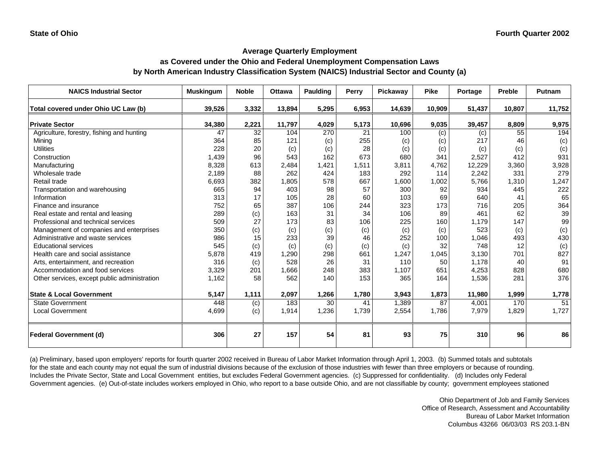## **as Covered under the Ohio and Federal Unemployment Compensation Laws by North American Industry Classification System (NAICS) Industrial Sector and County (a)**

| <b>NAICS Industrial Sector</b>               | <b>Muskingum</b> | <b>Noble</b> | <b>Ottawa</b> | Paulding | Perry | Pickawav | <b>Pike</b> | Portage | <b>Preble</b> | Putnam |
|----------------------------------------------|------------------|--------------|---------------|----------|-------|----------|-------------|---------|---------------|--------|
| Total covered under Ohio UC Law (b)          | 39,526           | 3,332        | 13,894        | 5,295    | 6,953 | 14,639   | 10,909      | 51,437  | 10,807        | 11,752 |
| <b>Private Sector</b>                        | 34,380           | 2,221        | 11,797        | 4,029    | 5,173 | 10,696   | 9,035       | 39,457  | 8,809         | 9,975  |
| Agriculture, forestry, fishing and hunting   | 47               | 32           | 104           | 270      | 21    | 100      | (c)         | (c)     | 55            | 194    |
| Mining                                       | 364              | 85           | 121           | (c)      | 255   | (c)      | (c)         | 217     | 46            | (c)    |
| <b>Utilities</b>                             | 228              | 20           | (c)           | (c)      | 28    | (c)      | (c)         | (c)     | (c)           | (c)    |
| Construction                                 | 1,439            | 96           | 543           | 162      | 673   | 680      | 341         | 2,527   | 412           | 931    |
| Manufacturing                                | 8,328            | 613          | 2,484         | 1,421    | 1,511 | 3,811    | 4,762       | 12,229  | 3,360         | 3,928  |
| Wholesale trade                              | 2,189            | 88           | 262           | 424      | 183   | 292      | 114         | 2,242   | 331           | 279    |
| Retail trade                                 | 6,693            | 382          | 1,805         | 578      | 667   | 1,600    | 1,002       | 5,766   | 1,310         | 1,247  |
| Transportation and warehousing               | 665              | 94           | 403           | 98       | 57    | 300      | 92          | 934     | 445           | 222    |
| Information                                  | 313              | 17           | 105           | 28       | 60    | 103      | 69          | 640     | 41            | 65     |
| Finance and insurance                        | 752              | 65           | 387           | 106      | 244   | 323      | 173         | 716     | 205           | 364    |
| Real estate and rental and leasing           | 289              | (c)          | 163           | 31       | 34    | 106      | 89          | 461     | 62            | 39     |
| Professional and technical services          | 509              | 27           | 173           | 83       | 106   | 225      | 160         | 1,179   | 147           | 99     |
| Management of companies and enterprises      | 350              | (c)          | (c)           | (c)      | (c)   | (c)      | (c)         | 523     | (c)           | (c)    |
| Administrative and waste services            | 986              | 15           | 233           | 39       | 46    | 252      | 100         | 1,046   | 493           | 430    |
| <b>Educational services</b>                  | 545              | (c)          | (c)           | (c)      | (c)   | (c)      | 32          | 748     | 12            | (c)    |
| Health care and social assistance            | 5,878            | 419          | 1,290         | 298      | 661   | 1,247    | 1,045       | 3,130   | 701           | 827    |
| Arts, entertainment, and recreation          | 316              | (c)          | 528           | 26       | 31    | 110      | 50          | 1.178   | 40            | 91     |
| Accommodation and food services              | 3,329            | 201          | 1,666         | 248      | 383   | 1,107    | 651         | 4,253   | 828           | 680    |
| Other services, except public administration | 1,162            | 58           | 562           | 140      | 153   | 365      | 164         | 1,536   | 281           | 376    |
| <b>State &amp; Local Government</b>          | 5,147            | 1,111        | 2,097         | 1,266    | 1,780 | 3,943    | 1,873       | 11,980  | 1,999         | 1,778  |
| <b>State Government</b>                      | 448              | (c)          | 183           | 30       | 41    | 1,389    | 87          | 4,001   | 170           | 51     |
| <b>Local Government</b>                      | 4,699            | (c)          | 1,914         | 1,236    | 1,739 | 2,554    | 1,786       | 7,979   | 1,829         | 1,727  |
| <b>Federal Government (d)</b>                | 306              | 27           | 157           | 54       | 81    | 93       | 75          | 310     | 96            | 86     |

(a) Preliminary, based upon employers' reports for fourth quarter 2002 received in Bureau of Labor Market Information through April 1, 2003. (b) Summed totals and subtotals for the state and each county may not equal the sum of industrial divisions because of the exclusion of those industries with fewer than three employers or because of rounding. Includes the Private Sector, State and Local Government entities, but excludes Federal Government agencies. (c) Suppressed for confidentiality. (d) Includes only Federal Government agencies. (e) Out-of-state includes workers employed in Ohio, who report to a base outside Ohio, and are not classifiable by county; government employees stationed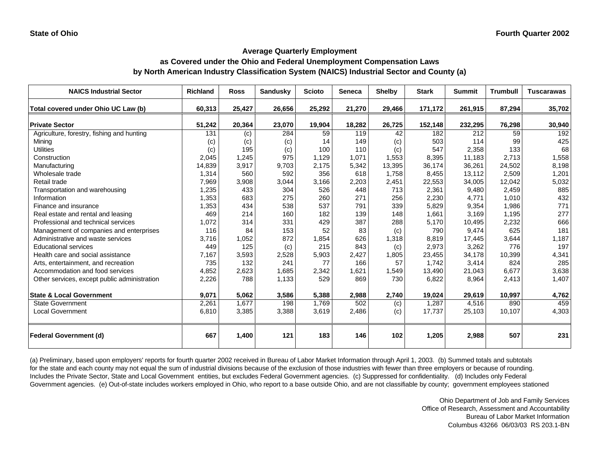## **as Covered under the Ohio and Federal Unemployment Compensation Laws by North American Industry Classification System (NAICS) Industrial Sector and County (a)**

| <b>NAICS Industrial Sector</b>               | <b>Richland</b> | <b>Ross</b> | <b>Sandusky</b> | <b>Scioto</b> | <b>Seneca</b> | <b>Shelby</b> | <b>Stark</b> | <b>Summit</b> | <b>Trumbull</b> | <b>Tuscarawas</b> |
|----------------------------------------------|-----------------|-------------|-----------------|---------------|---------------|---------------|--------------|---------------|-----------------|-------------------|
| Total covered under Ohio UC Law (b)          | 60,313          | 25,427      | 26,656          | 25,292        | 21,270        | 29,466        | 171,172      | 261,915       | 87,294          | 35,702            |
| <b>Private Sector</b>                        | 51,242          | 20,364      | 23,070          | 19,904        | 18,282        | 26,725        | 152,148      | 232,295       | 76,298          | 30,940            |
| Agriculture, forestry, fishing and hunting   | 131             | (c)         | 284             | 59            | 119           | 42            | 182          | 212           | 59              | 192               |
| Minina                                       | (c)             | (c)         | (c)             | 14            | 149           | (c)           | 503          | 114           | 99              | 425               |
| <b>Utilities</b>                             | (c)             | 195         | (c)             | 100           | 110           | (c)           | 547          | 2,358         | 133             | 68                |
| Construction                                 | 2,045           | 1,245       | 975             | 1,129         | 1,071         | 1,553         | 8,395        | 11,183        | 2,713           | 1,558             |
| Manufacturing                                | 14,839          | 3,917       | 9,703           | 2.175         | 5,342         | 13,395        | 36.174       | 36,261        | 24,502          | 8,198             |
| Wholesale trade                              | 1,314           | 560         | 592             | 356           | 618           | 1,758         | 8,455        | 13,112        | 2,509           | 1,201             |
| Retail trade                                 | 7,969           | 3,908       | 3,044           | 3,166         | 2,203         | 2,451         | 22,553       | 34,005        | 12,042          | 5,032             |
| Transportation and warehousing               | 1,235           | 433         | 304             | 526           | 448           | 713           | 2,361        | 9,480         | 2,459           | 885               |
| Information                                  | 1.353           | 683         | 275             | 260           | 271           | 256           | 2,230        | 4.771         | 1,010           | 432               |
| Finance and insurance                        | 1,353           | 434         | 538             | 537           | 791           | 339           | 5,829        | 9,354         | 1,986           | 771               |
| Real estate and rental and leasing           | 469             | 214         | 160             | 182           | 139           | 148           | 1,661        | 3,169         | 1,195           | 277               |
| Professional and technical services          | 1,072           | 314         | 331             | 429           | 387           | 288           | 5,170        | 10,495        | 2,232           | 666               |
| Management of companies and enterprises      | 116             | 84          | 153             | 52            | 83            | (c)           | 790          | 9,474         | 625             | 181               |
| Administrative and waste services            | 3,716           | 1,052       | 872             | 1,854         | 626           | 1,318         | 8,819        | 17,445        | 3,644           | 1,187             |
| <b>Educational services</b>                  | 449             | 125         | (c)             | 215           | 843           | (c)           | 2,973        | 3,262         | 776             | 197               |
| Health care and social assistance            | 7,167           | 3,593       | 2,528           | 5,903         | 2.427         | 1,805         | 23,455       | 34.178        | 10,399          | 4,341             |
| Arts, entertainment, and recreation          | 735             | 132         | 241             | 77            | 166           | 57            | 1.742        | 3,414         | 824             | 285               |
| Accommodation and food services              | 4,852           | 2,623       | 1,685           | 2,342         | 1,621         | 1,549         | 13,490       | 21,043        | 6,677           | 3,638             |
| Other services, except public administration | 2,226           | 788         | 1,133           | 529           | 869           | 730           | 6,822        | 8,964         | 2,413           | 1,407             |
| <b>State &amp; Local Government</b>          | 9,071           | 5,062       | 3,586           | 5,388         | 2,988         | 2,740         | 19,024       | 29,619        | 10,997          | 4,762             |
| <b>State Government</b>                      | 2,261           | 1,677       | 198             | 1,769         | 502           | (c)           | 1,287        | 4,516         | 890             | 459               |
| <b>Local Government</b>                      | 6,810           | 3,385       | 3,388           | 3,619         | 2,486         | (c)           | 17,737       | 25,103        | 10,107          | 4,303             |
| <b>Federal Government (d)</b>                | 667             | 1,400       | 121             | 183           | 146           | 102           | 1,205        | 2,988         | 507             | 231               |

(a) Preliminary, based upon employers' reports for fourth quarter 2002 received in Bureau of Labor Market Information through April 1, 2003. (b) Summed totals and subtotals for the state and each county may not equal the sum of industrial divisions because of the exclusion of those industries with fewer than three employers or because of rounding. Includes the Private Sector, State and Local Government entities, but excludes Federal Government agencies. (c) Suppressed for confidentiality. (d) Includes only Federal Government agencies. (e) Out-of-state includes workers employed in Ohio, who report to a base outside Ohio, and are not classifiable by county; government employees stationed